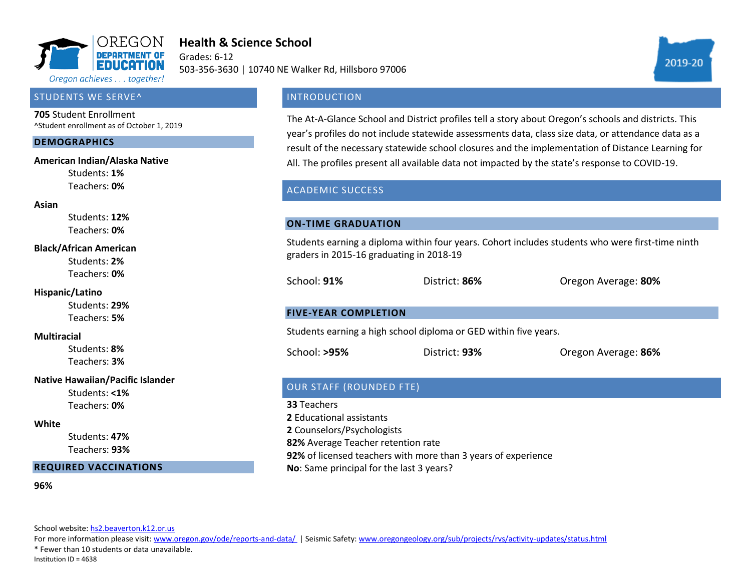

# **Health & Science School**

Grades: 6-12 503-356-3630 | 10740 NE Walker Rd, Hillsboro 97006



### STUDENTS WE SERVE^

**705** Student Enrollment ^Student enrollment as of October 1, 2019

#### **DEMOGRAPHICS**

#### **American Indian/Alaska Native**

Students: **1%** Teachers: **0%**

#### **Asian**

Students: **12%** Teachers: **0%**

#### **Black/African American**

Students: **2%** Teachers: **0%**

#### **Hispanic/Latino**

Students: **29%** Teachers: **5%**

#### **Multiracial**

Students: **8%** Teachers: **3%**

#### **Native Hawaiian/Pacific Islander**

Students: **<1%** Teachers: **0%**

#### **White**

Students: **47%** Teachers: **93%**

#### **REQUIRED VACCINATIONS**

**96%**

School website[: hs2.beaverton.k12.or.us](hs2.beaverton.k12.or.us)

For more information please visit: [www.oregon.gov/ode/reports-and-data/ |](https://www.oregon.gov/ode/reports-and-data/Pages/default.aspx) Seismic Safety[: www.oregongeology.org/sub/projects/rvs/activity-updates/status.html](http://www.oregongeology.org/sub/projects/rvs/activity-updates/status.html)

\* Fewer than 10 students or data unavailable.

Institution ID = 4638

### **INTRODUCTION**

The At-A-Glance School and District profiles tell a story about Oregon's schools and districts. This year's profiles do not include statewide assessments data, class size data, or attendance data as a result of the necessary statewide school closures and the implementation of Distance Learning for All. The profiles present all available data not impacted by the state's response to COVID-19.

### ACADEMIC SUCCESS

#### **ON-TIME GRADUATION**

Students earning a diploma within four years. Cohort includes students who were first-time ninth graders in 2015-16 graduating in 2018-19

School: **91%** District: **86%** Oregon Average: **80%**

#### **FIVE-YEAR COMPLETION**

Students earning a high school diploma or GED within five years.

School: **>95%** District: **93%** Oregon Average: **86%**

### OUR STAFF (ROUNDED FTE)

**33** Teachers **2** Educational assistants **2** Counselors/Psychologists **82%** Average Teacher retention rate **92%** of licensed teachers with more than 3 years of experience **No**: Same principal for the last 3 years?